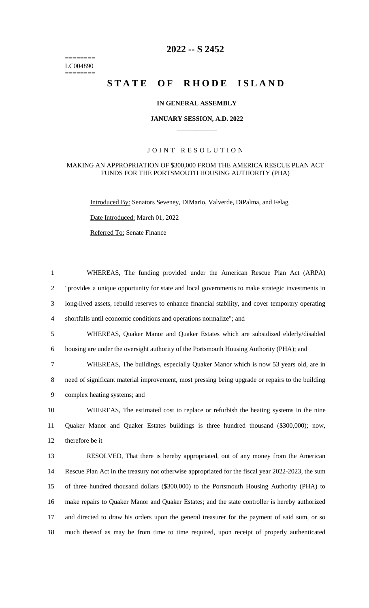======== LC004890  $=$ 

## **2022 -- S 2452**

# STATE OF RHODE ISLAND

## **IN GENERAL ASSEMBLY**

#### **JANUARY SESSION, A.D. 2022 \_\_\_\_\_\_\_\_\_\_\_\_**

## JOINT RESOLUTION

#### MAKING AN APPROPRIATION OF \$300,000 FROM THE AMERICA RESCUE PLAN ACT FUNDS FOR THE PORTSMOUTH HOUSING AUTHORITY (PHA)

Introduced By: Senators Seveney, DiMario, Valverde, DiPalma, and Felag

Date Introduced: March 01, 2022

Referred To: Senate Finance

| $\mathbf{1}$   | WHEREAS, The funding provided under the American Rescue Plan Act (ARPA)                           |
|----------------|---------------------------------------------------------------------------------------------------|
| $\overline{2}$ | "provides a unique opportunity for state and local governments to make strategic investments in   |
| 3              | long-lived assets, rebuild reserves to enhance financial stability, and cover temporary operating |
| $\overline{4}$ | shortfalls until economic conditions and operations normalize"; and                               |
| 5              | WHEREAS, Quaker Manor and Quaker Estates which are subsidized elderly/disabled                    |
| 6              | housing are under the oversight authority of the Portsmouth Housing Authority (PHA); and          |
| $\tau$         | WHEREAS, The buildings, especially Quaker Manor which is now 53 years old, are in                 |
| 8              | need of significant material improvement, most pressing being upgrade or repairs to the building  |
| 9              | complex heating systems; and                                                                      |
|                | WHEREAS, The estimated cost to replace or refurbish the heating systems in the nine               |
| 10             |                                                                                                   |
| 11             | Quaker Manor and Quaker Estates buildings is three hundred thousand (\$300,000); now,             |
|                | therefore be it                                                                                   |
| 12<br>13       | RESOLVED, That there is hereby appropriated, out of any money from the American                   |
| 14             | Rescue Plan Act in the treasury not otherwise appropriated for the fiscal year 2022-2023, the sum |
| 15             | of three hundred thousand dollars (\$300,000) to the Portsmouth Housing Authority (PHA) to        |
| 16             | make repairs to Quaker Manor and Quaker Estates; and the state controller is hereby authorized    |
| 17             | and directed to draw his orders upon the general treasurer for the payment of said sum, or so     |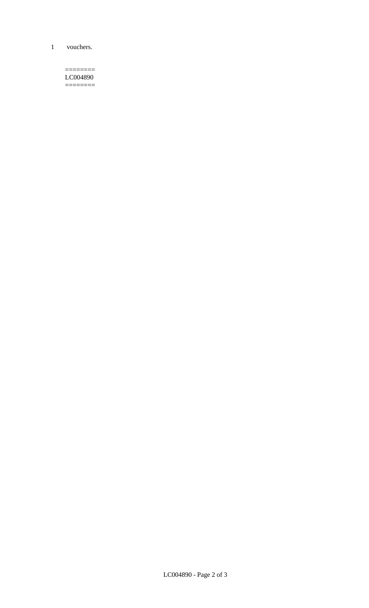1 vouchers.

 $=$ LC004890  $=$